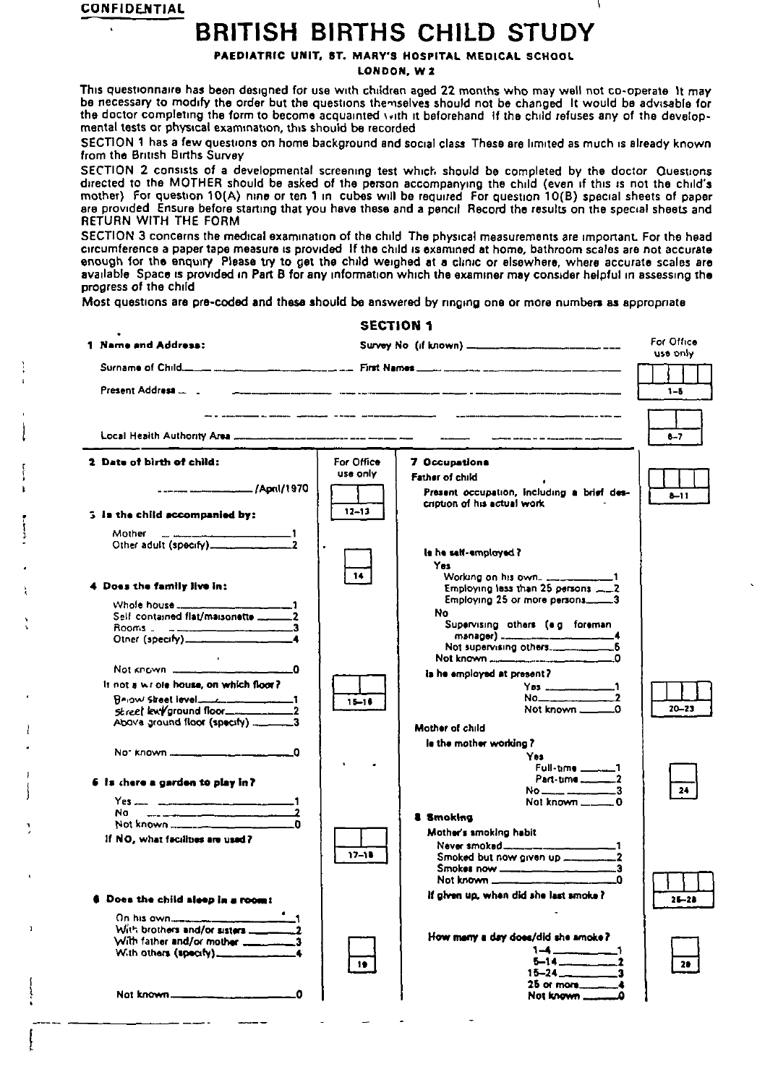**CONFIDENTIAL**

# **BRITISH BIRTHS CHILD STUDY'**

**PAEDIATRIC UNIT, ST. MARY'S HOSPITAL MEDICAL SCHOOL** 

**LONDON, Wz**

This questionnaire has been designed for use with children aged 22 months who may well not co-operate 1t may be necessary to modify the order but the questions themselves should not be changed it would be advisable for the doctor completing the form to become acquainted with it beforehand. If the child refuses any of the develop**mental tests or phystcal exammatmn, dws should be recorded**

SECTION 1 has a few questions on home background and social class. These are limited as much is already known. **from the British Births Survey**<br>SECTION 2 consists of a developmental screening test which should be completed by the doctor Questions

**SECTION 2 conslsls of a developmental screening test whlct, should be completed by the doctor Ouesvons** directed to the MOTHER should be asked of the person accompanying the child (even if this is not the child) mother) for doesnon ( $O(A)$  nine or ten I in cubes will be reduired for duestion (U(B) special sheets or papel are provided. Ensure before starting that you have these and a pencil. Hecord the results on the special sheets and **RETURN WITH THE FORM**

SECTION 3 concerns the medical examination of the child. The physical measurements are important. For the head circumference a paper tape measure is provided. If the child is examined at home, bathroom scales are not accurate enough for the enquiry. Please try to get the child weighed at a clinic or elsewhere, where accurate scales are available. Space is provided in Part B for any information which the examiner may consider helpful in assessing the **progress of the chtld**

 $-1$   $-1$   $-1$   $-1$   $-1$ 

**Most questmns are pre-cdsxi and thaw should ba answered by nngmg ona or mora numbers as appropriate**

| 1 Name and Address:                                                                                                                     |                 | For Office<br>use only                                                                                           |           |  |
|-----------------------------------------------------------------------------------------------------------------------------------------|-----------------|------------------------------------------------------------------------------------------------------------------|-----------|--|
|                                                                                                                                         |                 |                                                                                                                  |           |  |
|                                                                                                                                         |                 |                                                                                                                  |           |  |
|                                                                                                                                         |                 |                                                                                                                  | $1 - 5$   |  |
|                                                                                                                                         |                 | .<br>W z nachodnik z wodno sporazgia – koda naktorom okresniczky – sporazgionniczne pod sporazgionnego se sporaz |           |  |
|                                                                                                                                         |                 |                                                                                                                  | $8 - 7$   |  |
| 2. Data of birth of child:                                                                                                              | For Office      | 7 Occupations                                                                                                    |           |  |
|                                                                                                                                         | use only        | Father of child                                                                                                  |           |  |
|                                                                                                                                         |                 | Present occupation, including a brief des-                                                                       | $b - 11$  |  |
| 5 Is the child accompanied by:                                                                                                          | $12 - 13$       | cription of his actual work.                                                                                     |           |  |
|                                                                                                                                         |                 |                                                                                                                  |           |  |
| Mother <u>www.communities.com</u> 1                                                                                                     |                 |                                                                                                                  |           |  |
|                                                                                                                                         |                 | ls he self-employed?                                                                                             |           |  |
|                                                                                                                                         | 14              | Yes                                                                                                              |           |  |
| 4 Does the family live in:                                                                                                              |                 |                                                                                                                  |           |  |
|                                                                                                                                         |                 | Employing 25 or more persons3                                                                                    |           |  |
| Self contained flat/maisonette _________2                                                                                               |                 | No<br>Supervising others (e.g. foreman                                                                           |           |  |
|                                                                                                                                         |                 |                                                                                                                  |           |  |
|                                                                                                                                         |                 |                                                                                                                  |           |  |
| <b>Contract Contract</b><br>Not known $\frac{1}{2}$ = $\frac{1}{2}$ = $\frac{1}{2}$ = $\frac{1}{2}$ = $\frac{1}{2}$ = $\frac{1}{2}$ = 0 |                 | Not known ________________________________0                                                                      |           |  |
| It not a wright house, on which floor?                                                                                                  |                 | is he employed at present?<br>Yes ______________________1                                                        |           |  |
| <b>BAIOW Street level___________________1</b>                                                                                           | $15 - 16$       | $No$ 2                                                                                                           |           |  |
|                                                                                                                                         |                 | Not known _______0                                                                                               | $20 - 23$ |  |
| Above ground floor (specify) _______3                                                                                                   |                 | Mother of child                                                                                                  |           |  |
|                                                                                                                                         |                 | le the mother working?                                                                                           |           |  |
|                                                                                                                                         |                 | Yas.                                                                                                             |           |  |
|                                                                                                                                         |                 | Full-time ______1                                                                                                |           |  |
| 6 is chere a garden to play in?                                                                                                         |                 |                                                                                                                  | 24        |  |
| Yes. 1                                                                                                                                  |                 | Not known $\_\_\_\_\_\_0$                                                                                        |           |  |
| No l<br>Not known ______________________________0                                                                                       |                 | & Smoking                                                                                                        |           |  |
| If NO, what facilities are used?                                                                                                        |                 | Mother's smoking habit                                                                                           |           |  |
|                                                                                                                                         | $17 - 18$       |                                                                                                                  |           |  |
|                                                                                                                                         |                 |                                                                                                                  |           |  |
|                                                                                                                                         |                 |                                                                                                                  |           |  |
| Does the child sleep in a room!                                                                                                         |                 | If given up, when did she last smoke?                                                                            | $26 - 28$ |  |
|                                                                                                                                         |                 |                                                                                                                  |           |  |
|                                                                                                                                         |                 |                                                                                                                  |           |  |
| With father and/or mother ___________3                                                                                                  |                 | How many a day does/did she amoke?                                                                               |           |  |
| With others $(spec(y)$ ____________                                                                                                     |                 |                                                                                                                  |           |  |
|                                                                                                                                         | 10 <sup>2</sup> |                                                                                                                  |           |  |
|                                                                                                                                         |                 | $25$ or more ________4                                                                                           |           |  |
| 0                                                                                                                                       |                 |                                                                                                                  |           |  |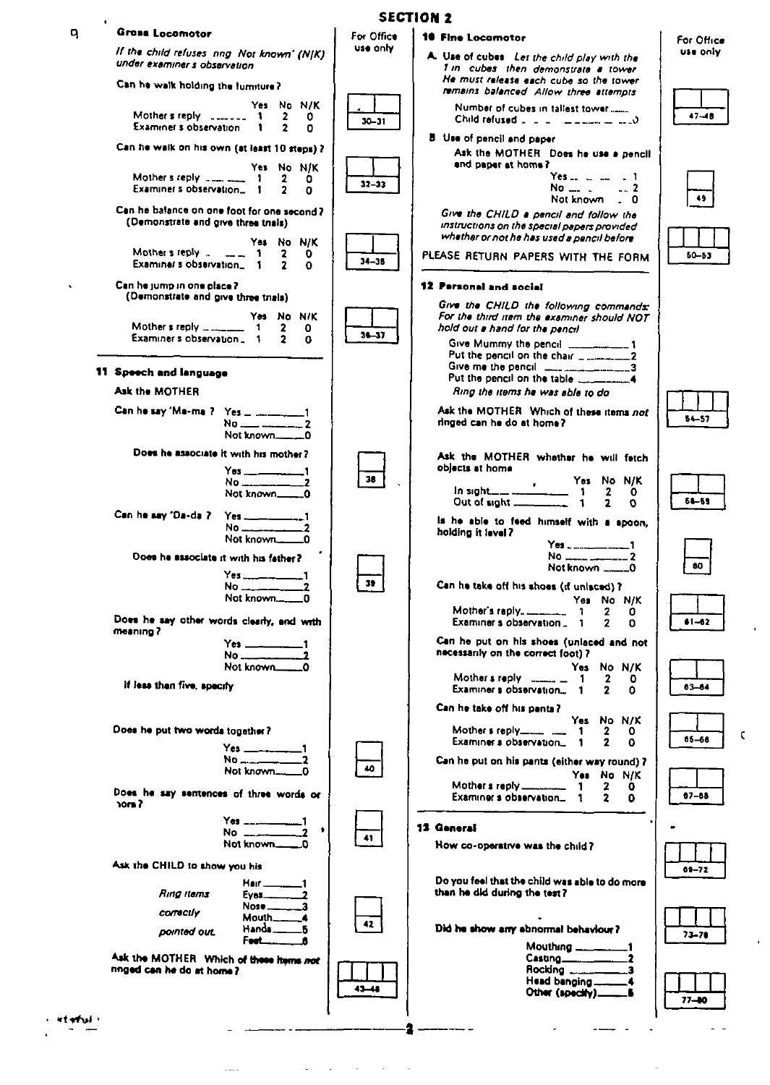|                 |                                                                                                                                          |                        | <b>SECTION 2</b>                                                                                                                                                                                                                                                                                                                                                                                   |                        |
|-----------------|------------------------------------------------------------------------------------------------------------------------------------------|------------------------|----------------------------------------------------------------------------------------------------------------------------------------------------------------------------------------------------------------------------------------------------------------------------------------------------------------------------------------------------------------------------------------------------|------------------------|
| q               | <b>Gross Locomotor</b><br>If the child refuses nng Not known' (N K)<br>under examiner s observation                                      | For Office<br>use only | 10 Fine Locomotor<br>A. Use of cubes Let the child play with the                                                                                                                                                                                                                                                                                                                                   | For Office<br>use only |
|                 | Can he walk holding the furniture?                                                                                                       |                        | 1 in cubes then demonstrate a tower<br>He must release each cube so the tower<br>remains balanced Allow three attempts                                                                                                                                                                                                                                                                             |                        |
|                 | Yes No N/K<br>Mother's reply $\frac{1}{2}$ = $\frac{1}{2}$ = 1<br>$\mathbf{2}$<br>0<br>Examiner's observation.<br>o<br>1                 | $30 - 31$              | Number of cubes in tallest tower<br>Child refused $\therefore$ $\therefore$ $\therefore$ $\Rightarrow$ $\Rightarrow$ $\Rightarrow$ $\therefore$ $\Diamond$                                                                                                                                                                                                                                         | $47 - 10$              |
|                 | Can he walk on his own (at least 10 steps) ?                                                                                             |                        | <b>B</b> Use of pencil and paper<br>Ask the MOTHER Does he use a pencil<br>and paper at home?                                                                                                                                                                                                                                                                                                      |                        |
|                 | Yes No N/K<br>Mother's reply $\frac{1}{2}$ = $\frac{1}{2}$ = 1<br>$\mathbf{2}$<br>0<br>Examiner's observation. 1                         | $32 - 33$              | $Yes_{-1} =  = 1$<br>$No_$ 2<br>Not known _ 0                                                                                                                                                                                                                                                                                                                                                      | 49                     |
|                 | Can he balance on one foot for one second?<br>(Demonstrate and give three trials)                                                        |                        | Give the CHILD a pencil and follow the<br>instructions on the special papers provided                                                                                                                                                                                                                                                                                                              |                        |
|                 | Yes No N/K<br>Mother's reply $\ldots$ $\ldots$ 1<br>2<br>o<br>Examiner s observation. 1                                                  | $34 - 35$              | whether or not he has used a pencil before<br>PLEASE RETURN PAPERS WITH THE FORM                                                                                                                                                                                                                                                                                                                   | $60 - 53$              |
| $\bullet$       | Can he jump in one place ?<br>(Demonstrate and give three trials)                                                                        |                        | <b>12 Personal and social</b>                                                                                                                                                                                                                                                                                                                                                                      |                        |
|                 | Yes No N/K<br>Mother $s$ reply $\frac{1}{s}$ $\frac{1}{s}$<br>$\mathbf{2}$<br>- 1<br>0<br>Examiner's observation. 1<br>$\mathbf{2}$<br>0 | $36 - 37$              | Give the CHILD the following commands:<br>For the third item the examiner should NOT<br>hold out a hand for the pencil                                                                                                                                                                                                                                                                             |                        |
|                 | 11 Speech and language                                                                                                                   |                        | Give Mummy the pencil ____________1<br>Put the pencil on the chair ____________2<br>Give me the pencil $\frac{1}{2}$ $\frac{1}{2}$ $\frac{1}{2}$ $\frac{1}{2}$ $\frac{1}{2}$ $\frac{1}{2}$ $\frac{1}{2}$ $\frac{1}{2}$ $\frac{1}{2}$ $\frac{1}{2}$ $\frac{1}{2}$ $\frac{1}{2}$ $\frac{1}{2}$ $\frac{1}{2}$ $\frac{1}{2}$ $\frac{1}{2}$ $\frac{1}{2}$ $\frac{1}{2}$ $\frac{1}{2}$ $\frac{1}{2}$ $\$ |                        |
|                 | Ask the MOTHER                                                                                                                           |                        | Put the pencil on the table $\frac{1}{2}$ mass of the pencil on the table<br>Ring the items he was able to do                                                                                                                                                                                                                                                                                      |                        |
|                 | $No$ $\_\_\_\_\_\_\_\_\_$ 2                                                                                                              |                        | Ask the MOTHER Which of these items not<br>ringed can he do at home?                                                                                                                                                                                                                                                                                                                               | 64-57                  |
|                 | Does he associate it with his mother?<br>$Y$ es ________________1                                                                        |                        | Ask the MOTHER whether he will fatch<br>objects at home                                                                                                                                                                                                                                                                                                                                            |                        |
|                 | Not known______0                                                                                                                         | 38 <sub>1</sub>        | Out of sight $\frac{1}{2}$ 1<br>$\mathbf{z}$<br>$\Omega$                                                                                                                                                                                                                                                                                                                                           | $64 - 69$              |
|                 | Can he say 'Da-da ?<br>No 2 2                                                                                                            |                        | is he able to feed himself with a spoon.<br>holding it level?<br>Yes _ ____________1                                                                                                                                                                                                                                                                                                               |                        |
|                 | Does he associate it with his father?<br>Yes 1                                                                                           |                        | Not known _____0                                                                                                                                                                                                                                                                                                                                                                                   | 60                     |
|                 | No $\equiv$ $\equiv$                                                                                                                     | 39.                    | Can he take off his shoes (if unlaced) ?<br>Yes No N/K                                                                                                                                                                                                                                                                                                                                             |                        |
|                 | Does he say other words clearly, and with<br>meaning?                                                                                    |                        | $\mathbf{2}$<br>0<br>Examiner s observation. 1<br>2<br>٥                                                                                                                                                                                                                                                                                                                                           | $61 - 62$              |
|                 | Yes 1<br>No 2<br>Not known                                                                                                               |                        | Can he put on his shoes (unlaced and not<br>necessarily on the correct foot) ?<br>Yes No N/K                                                                                                                                                                                                                                                                                                       |                        |
|                 | If less than five, specify                                                                                                               |                        | Mother's reply $\frac{1}{2}$ = 1<br>2<br>٥<br>Examiner s observation<br>0                                                                                                                                                                                                                                                                                                                          | $03 - 64$              |
|                 | Does he put two words together?                                                                                                          |                        | Can he take off his pants?<br>Yes No N/K<br>Mother's reply-<br>2<br>1<br>0                                                                                                                                                                                                                                                                                                                         | $05 - 66$              |
|                 | Yes 1<br>$No_{\text{max}} = 2$<br>-0                                                                                                     | 40                     | Examiner s observation<br>2<br>$\Omega$<br>$\mathbf 1$<br>Can he put on his pants (either way round) ?                                                                                                                                                                                                                                                                                             |                        |
|                 | Does he say sentences of three words or<br>? מסר                                                                                         |                        | Yes No N/K<br>Mother s reply ____________ 1<br>2<br>0<br>Examiner s observation_1<br>$\mathbf{2}$<br>o                                                                                                                                                                                                                                                                                             | $07 - 08$              |
|                 | Yes _____________1<br>٠                                                                                                                  | 41                     | 13 General                                                                                                                                                                                                                                                                                                                                                                                         |                        |
|                 | Ask the CHILD to show you his                                                                                                            |                        | How co-operative was the child?                                                                                                                                                                                                                                                                                                                                                                    | 69-72                  |
|                 | $H$ air $\frac{1}{2}$<br>Ring itams<br>$N$ ose $\_\_\_\_\_$ 3                                                                            |                        | Do you feel that the child was able to do more<br>than he did during the test?                                                                                                                                                                                                                                                                                                                     |                        |
|                 | correctiv<br>$M$ outh $\_\_$<br>$-4$<br>Hands <sub>—</sub><br>.B<br>pointed out.<br><b>Feet____</b><br>Δ                                 | 42                     | Did he show any abnormal behaviour?                                                                                                                                                                                                                                                                                                                                                                | $73 - 70$              |
|                 | Ask the MOTHER Which of these items not<br>miged can he do at home?                                                                      |                        | Mouthing __________1<br>Casting <sub>_______________</sub> _2<br>Rocking _______                                                                                                                                                                                                                                                                                                                   |                        |
|                 |                                                                                                                                          | $1 - 1$                | Head banging _______4                                                                                                                                                                                                                                                                                                                                                                              | $77 - 00$              |
| <b>AT ATTAI</b> |                                                                                                                                          |                        |                                                                                                                                                                                                                                                                                                                                                                                                    |                        |

 $\hat{\mathbf{r}}$ 

 $\mathfrak{c}$ 

 $\hat{\mathbf{r}}$ 

 $\sim 10^6$ 

 $\frac{1}{2}$ 

 $\frac{1}{\sqrt{2}}$  $\frac{1}{\sqrt{2}}$ Ŷ,

 $\bar{\gamma}$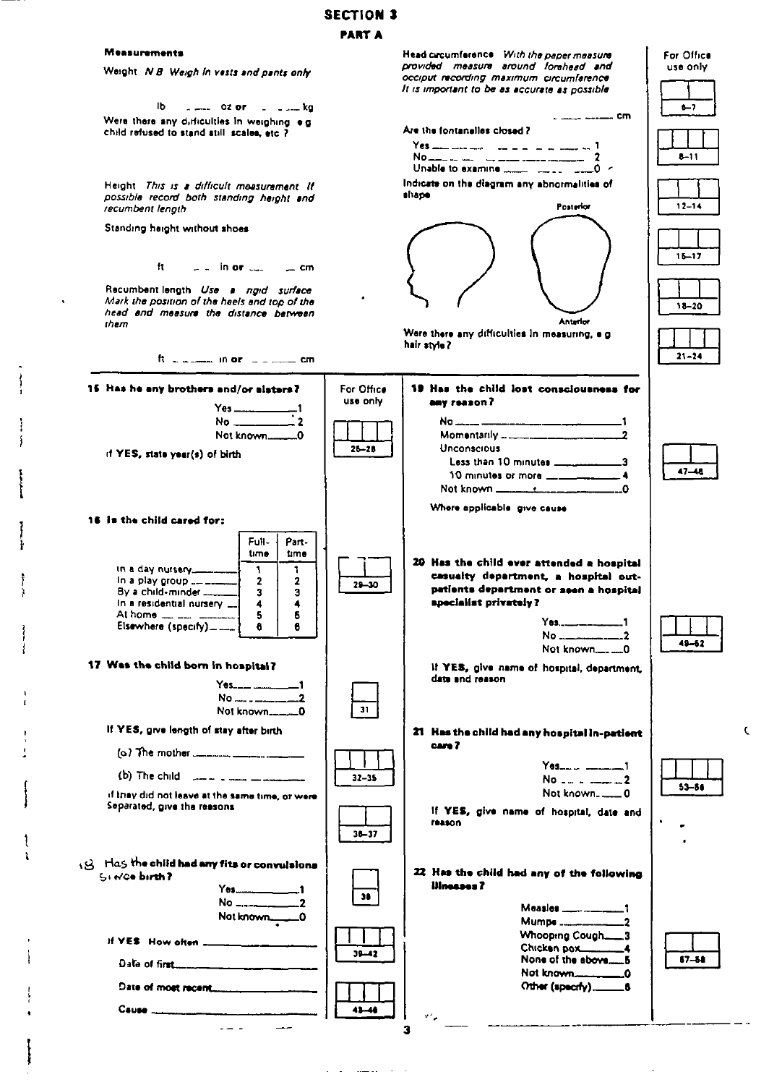#### **SECTION 3 PART A**

 $25 - 28$ 

 $29 - 30$ 

 $\overline{31}$ 

 $32 - 35$ 

 $30 - 37$ 

 $36$ 

 $39 - 42$ 

 $43 - 48$ 

#### **Measurements**

Weight N B Weigh In vests and pants only

**Ib** Were there any difficulties in weighing e.g. child refused to stand still scales, etc ?

Height. This is a difficult measurement. If possible record both standing height and recumbent lenoth

Standing height without shoes

 $<sup>11</sup>$ </sup>  $\overline{ }$  in or  $\overline{ }$ — cm

Recumbent length Use a ngid surface Mark the position of the heels and top of the head and measure the distance between them

15 Has he any brothers and/or alsters?

if YES, state year(s) of birth

16 is the child cared for:

in a day nursery...

In a play group ...

By a child-minder....

At home  $\frac{1}{2}$   $\frac{1}{2}$   $\frac{1}{2}$   $\frac{1}{2}$ 

In a residential nursery ...

Elsewhere (specify) .........

17 Was the child born in hospital?

If YES, give length of stay after birth

(b) The child  $\lim_{n \to \infty}$   $\lim_{n \to \infty}$ 

(3) Has the child had any fits or convulsions

Separated, give the reasons

Since birth?

Cause ....

If YES How often ...

Date of most recent...

if they did not leave at the same time, or were

 $Yes...$ 

 $\omega = \omega^2$  .

ft in a comment theory in an account can

 $\begin{array}{c}\nYes \longrightarrow 1 \\
No \longrightarrow 2\n\end{array}$ 

Not known.............0

Full-

time

1

 $\overline{\mathbf{2}}$ 

 $\overline{\mathbf{3}}$ 

 $\overline{\mathbf{4}}$ 

5

8

 $No$  .....  $1 - 2$ 

 $Yes_{\dots}$ 

Not known....

Part-

time

 $\mathbf{I}$ 

 $\mathbf{2}$ 

 $\overline{\mathbf{3}}$ 

4

 $\boldsymbol{5}$ 

8

 $\blacksquare$ 

 $\Omega$ 

Head circumference With the paper measure provided measure around forehead and occiput recording maximum circumference

For Office

use only

It is important to be as accurate as possible  $-7$  $\sim$   $\frac{1}{2}$   $\frac{1}{2}$   $\frac{1}{2}$   $\frac{1}{2}$   $\frac{1}{2}$   $\frac{1}{2}$   $\frac{1}{2}$   $\frac{1}{2}$   $\frac{1}{2}$   $\frac{1}{2}$   $\frac{1}{2}$   $\frac{1}{2}$   $\frac{1}{2}$   $\frac{1}{2}$   $\frac{1}{2}$   $\frac{1}{2}$   $\frac{1}{2}$   $\frac{1}{2}$   $\frac{1}{2}$   $\frac{1}{2}$   $\frac{1}{2}$   $\frac{1}{$ Are the fontanelles closed?  $Yes$  and denotes the state of the state of  $1$  $8 - 11$  $No...$ Indicate on the diagram any abnormalities of shape Posterior  $12 - 14$  $15 - 17$  $18 - 20$ Anterior Were there any difficulties in measuring, e.g. hair style?  $21 - 24$ 19 Has the child lost consciousness for For Office use only Say reason?  $\overline{\phantom{0}}$ 1 Momentarily \_ \_\_\_\_\_\_\_\_  $\overline{2}$ Unconscious Less than 10 minutes \_\_\_\_\_\_ .3  $47 - 48$ 10 minutes or more \_\_\_\_\_\_\_ - 4 Not known \_\_\_\_\_\_\_\_\_\_\_\_\_\_\_\_\_\_\_ Where applicable give cause 20 Has the child ever attended a hospital casualty department, a hospital outpatients department or seen a hospital specialist privately?  $\blacksquare$  $49 - 62$ If YES, give name of hospital, department, date and reason 21 Has the child had any hospital in-patient Ċ cam<sup>2</sup> 53-54 If YES, give name of hospital, date and **reason** 22 Has the child had any of the following Illnesses? Measles .................  $\mathbf{t}$  $\overline{\phantom{0}}$ Whooping Cough.... 3

Chicken pox\_\_\_

Not known.

Other (specify).......

None of the above.........5

 $\blacktriangle$ 

L0

 $\overline{\phantom{a}}$ 

 $67 - 68$ 

3

 $\mathbf{v}^{\mathrm{in}}$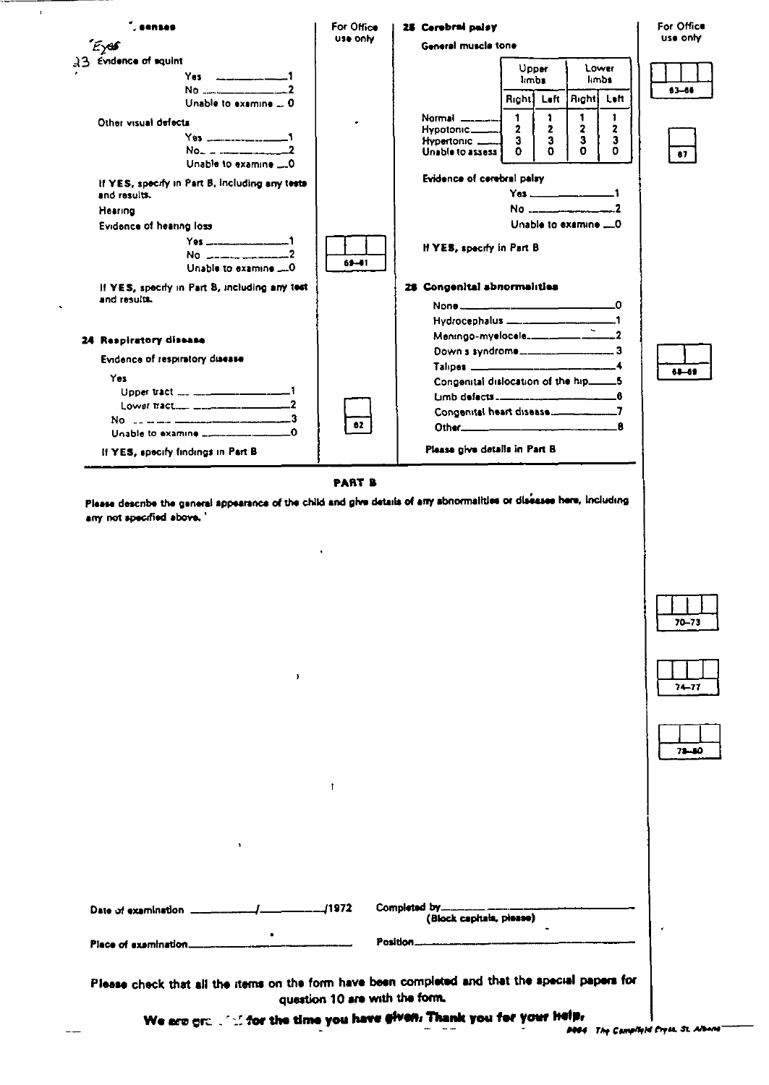

 $\mathbf{I}$ 

**PART B** 

Please describe the general appearance of the child and give details of any abnormalities or diseases here, including any not specified above."

 $\mathbf{I}$ 





| 71 | ю |
|----|---|

1972∠ Completed by.... Date of examination \_ (Block capitals, please)  $\bullet$ Position.... Place of examination...

f,

Please check that all the items on the form have been completed and that the special papers for question 10 are with the form.

> We are grain that the time you have given: Thank you for your help, مدامه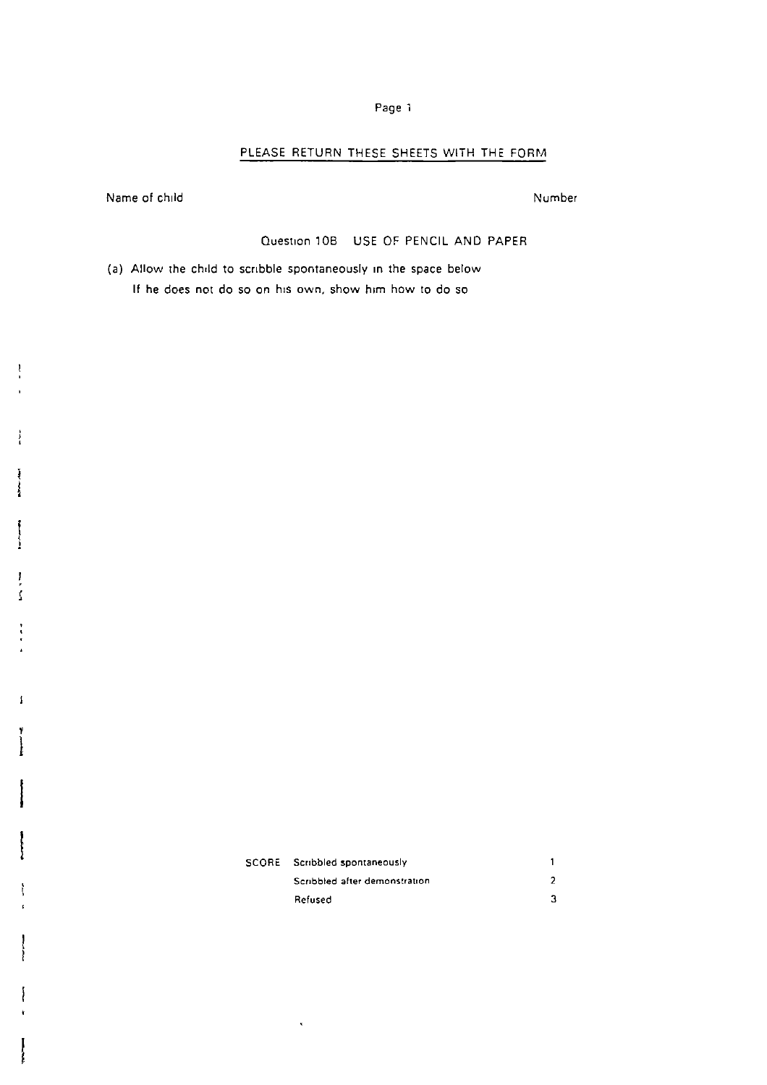## **PLEASE RETURN THESE SHEETS WITH THE FORM**

Name of **child**

Number

#### Question 10B USE OF PENCIL AND PAPER

(a) Allow the child to scribble spontaneously in the space below **If he does not** do so on h!s own, show him how to do so

| SCORE Scribbled spontaneously |  |
|-------------------------------|--|
| Scribbled after demonstration |  |
| Refused                       |  |

 $\bar{\star}$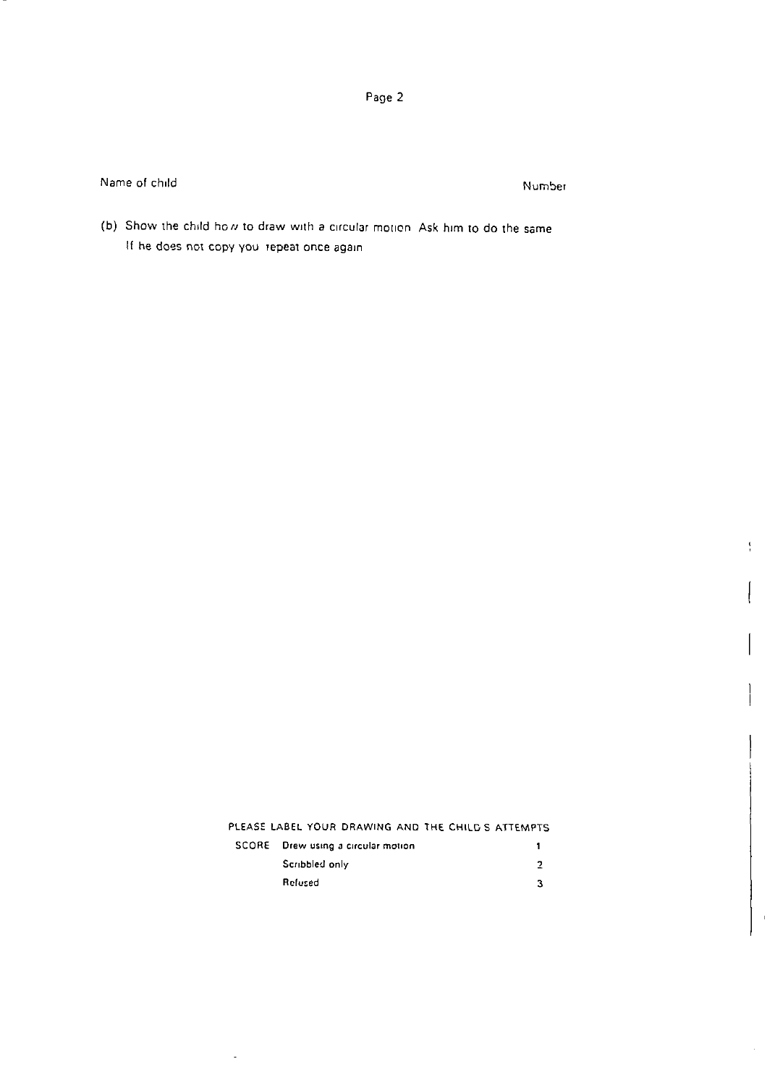Name of child **Number** Number

**I**

ŧ

 $\parallel$ 

**I**

(b) Show the child how to draw with a circular motion. Ask him to do the same If he does not copy you repeat once again

| PLEASE LABEL YOUR DRAWING AND THE CHILD'S ATTEMPTS |
|----------------------------------------------------|
|----------------------------------------------------|

| SCORE – Drew using a circular motion |  |
|--------------------------------------|--|
| Scribbled only                       |  |
| Refused                              |  |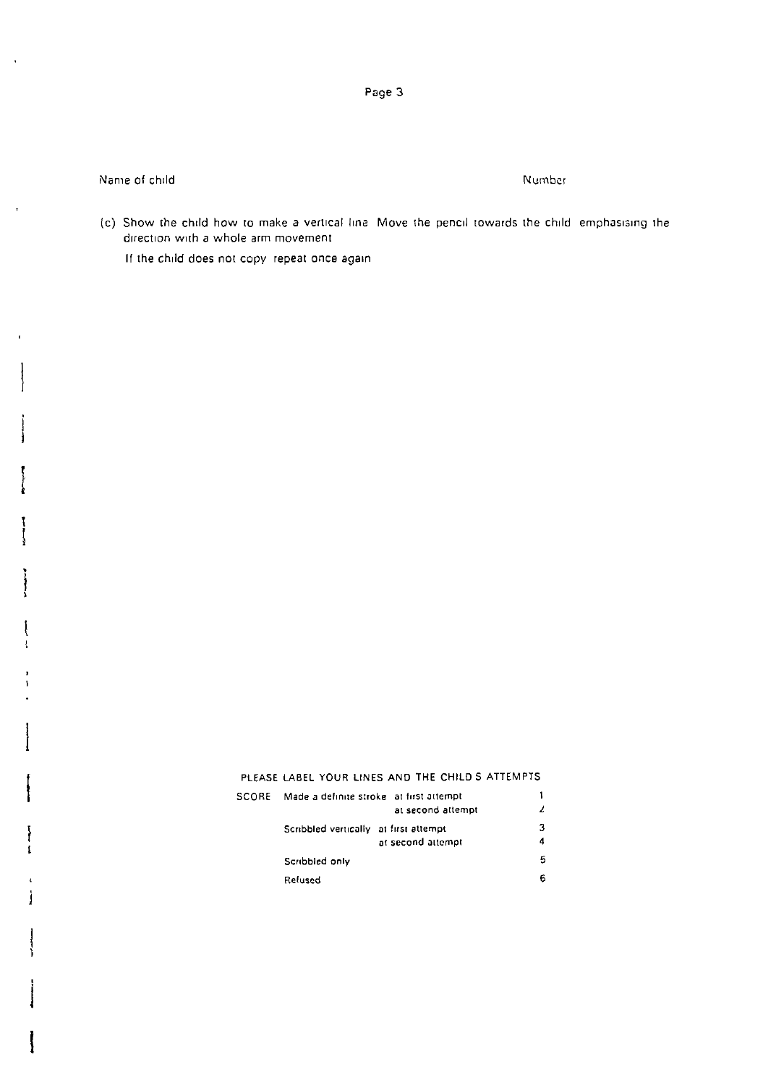Page 3

Name of child

Number

(c) Show the child how to make a vertical line. Move the pencil towards the child emphasising the direction with a whole arm movement.

If the child does not copy repeat once again

## PLEASE LABEL YOUR LINES AND THE CHILD S ATTEMPTS

| <b>SCORE</b> | Made a definite stroke - at first attempt |                   |   |
|--------------|-------------------------------------------|-------------------|---|
|              |                                           | at second attempt |   |
|              | Scribbled vertically at first attempt     |                   |   |
|              |                                           | at second attempt | 4 |
|              | Scribbled only                            |                   | 5 |
|              | Relused                                   |                   | 6 |